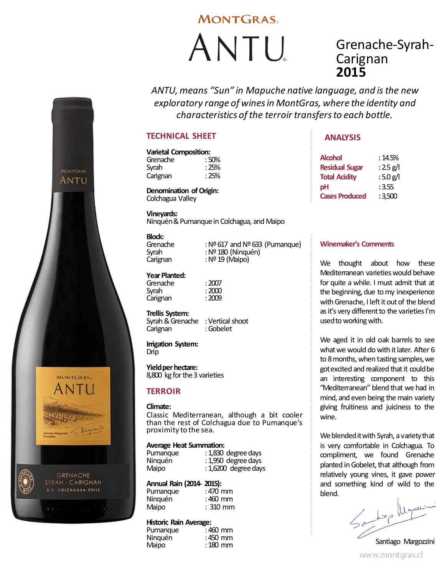# **MONTGRAS**

ANTU

# Grenache-Syrah-**Carignan 2015**

*ANTU, means "Sun" in Mapuche native language, and is the new exploratory range of wines in MontGras, where the identity and characteristics of the terroir transfers to each bottle.*

## **TECHNICAL SHEET**

# **Varietal Composition:** Grenache : 50%<br>Svrah : 25%

Syrah : 25%<br>Carignan : 25% Carignan

**Denomination of Origin:** Colchagua Valley

**Vineyards:** Ninquén & Pumanque in Colchagua, and Maipo

**Block:**<br>Grenache

**MONTGRAS** ANTU

MONTGRAS.

**GRENACHE** SYRAH CARIGNAN **D.O. COLCHAGUA-CHILE** 

Grenache :  $N^{\circ}$  617 and  $N^{\circ}$  633 (Pumanque)<br>Syrah : Nº 180 (Ninguén) Syrah : Nº 180 (Ninquén)<br>Carignan : Nº 19 (Maipo) :  $N<sup>°</sup>$  19 (Maipo)

## **Year Planted:**

Grenache : 2007<br>Syrah : 2000 Carignan

 $: 2000$ <br> $: 2009$ 

# **Trellis System:**

Syrah & Grenache : Vertical shoot

**Irrigation System:**

Drip

Carignan

**Yield per hectare:** 8,800 kg for the 3 varieties

## **TERROIR**

### **Climate:**

Classic Mediterranean, although a bit cooler than the rest of Colchagua due to Pumanque's proximity to the sea.

### **Average Heat Summation:**

| Pumanque | : 1,830 degree days    |
|----------|------------------------|
| Ninguén  | : 1,950 degree days    |
| Maipo    | $: 1,6200$ degree days |

### **Annual Rain (2014- 2015):**

| Pumanque | : 470 mm   |
|----------|------------|
| Ninguén  | :460 mm    |
| Maipo    | $: 310$ mm |

### **Historic Rain Average:**

| : 460 mm |
|----------|
| : 450 mm |
| : 180 mm |
|          |

# **ANALYSIS**

| <b>Alcohol</b>        | :14.5%              |
|-----------------------|---------------------|
| <b>Residual Sugar</b> | : $2.5 \text{ g/l}$ |
| <b>Total Acidity</b>  | : 5.0 $g/$          |
| рH                    | : 3.55              |
| <b>Cases Produced</b> | :3.500              |

## **Winemaker's Comments**

We thought about how these Mediterranean varieties would behave for quite a while. I must admit that at the beginning, due to my inexperience with Grenache, I left it out of the blend as it's very different to the varieties I'm used to working with.

We aged it in old oak barrels to see what we would do with it later. After 6 to 8 months, when tasting samples, we got excited and realized that it could be an interesting component to this "Mediterranean" blend that we had in mind, and even being the main variety giving fruitiness and juiciness to the wine.

We blended it with Syrah, a variety that is very comfortable in Colchagua. To compliment, we found Grenache planted in Gobelet, that although from relatively young vines, it gave power and something kind of wild to the blend.

Santiap Magazi Santiago Margozzini

www.montgras.cl